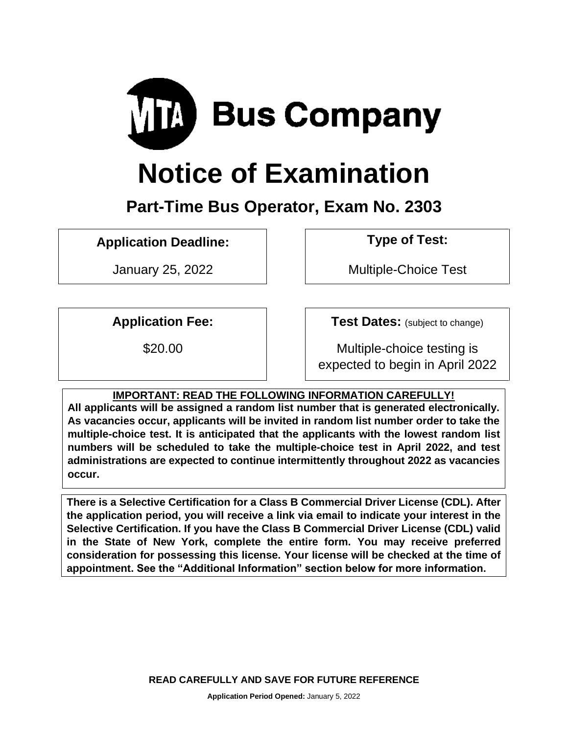

# **Notice of Examination**

# **Part-Time Bus Operator, Exam No. 2303**

**Application Deadline: Type of Test:** 

January 25, 2022 Multiple-Choice Test

**Application Fee: Test Dates:** (subject to change)

\$20.00 Multiple-choice testing is expected to begin in April 2022

# **IMPORTANT: READ THE FOLLOWING INFORMATION CAREFULLY!**

**All applicants will be assigned a random list number that is generated electronically. As vacancies occur, applicants will be invited in random list number order to take the multiple-choice test. It is anticipated that the applicants with the lowest random list numbers will be scheduled to take the multiple-choice test in April 2022, and test administrations are expected to continue intermittently throughout 2022 as vacancies occur.**

**There is a Selective Certification for a Class B Commercial Driver License (CDL). After the application period, you will receive a link via email to indicate your interest in the Selective Certification. If you have the Class B Commercial Driver License (CDL) valid in the State of New York, complete the entire form. You may receive preferred consideration for possessing this license. Your license will be checked at the time of appointment. See the "Additional Information" section below for more information.**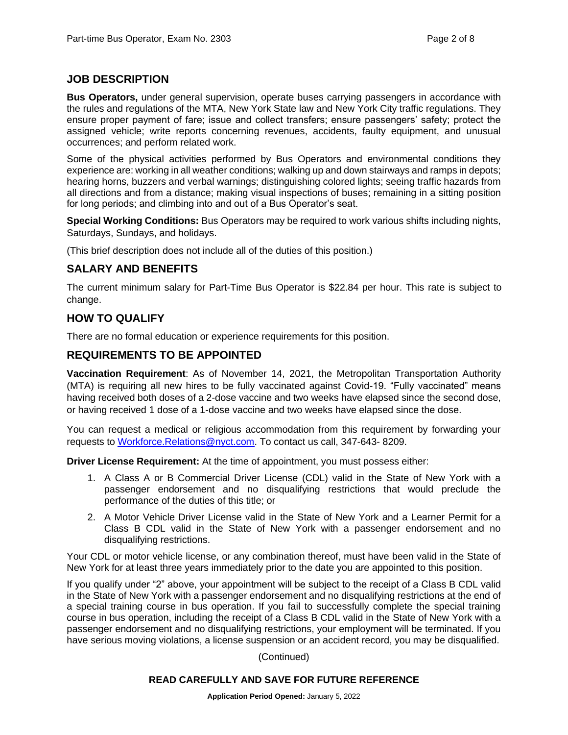# **JOB DESCRIPTION**

**Bus Operators,** under general supervision, operate buses carrying passengers in accordance with the rules and regulations of the MTA, New York State law and New York City traffic regulations. They ensure proper payment of fare; issue and collect transfers; ensure passengers' safety; protect the assigned vehicle; write reports concerning revenues, accidents, faulty equipment, and unusual occurrences; and perform related work.

Some of the physical activities performed by Bus Operators and environmental conditions they experience are: working in all weather conditions; walking up and down stairways and ramps in depots; hearing horns, buzzers and verbal warnings; distinguishing colored lights; seeing traffic hazards from all directions and from a distance; making visual inspections of buses; remaining in a sitting position for long periods; and climbing into and out of a Bus Operator's seat.

**Special Working Conditions:** Bus Operators may be required to work various shifts including nights, Saturdays, Sundays, and holidays.

(This brief description does not include all of the duties of this position.)

# **SALARY AND BENEFITS**

The current minimum salary for Part-Time Bus Operator is \$22.84 per hour. This rate is subject to change.

# **HOW TO QUALIFY**

There are no formal education or experience requirements for this position.

#### **REQUIREMENTS TO BE APPOINTED**

**Vaccination Requirement**: As of November 14, 2021, the Metropolitan Transportation Authority (MTA) is requiring all new hires to be fully vaccinated against Covid-19. "Fully vaccinated" means having received both doses of a 2-dose vaccine and two weeks have elapsed since the second dose, or having received 1 dose of a 1-dose vaccine and two weeks have elapsed since the dose.

You can request a medical or religious accommodation from this requirement by forwarding your requests to [Workforce.Relations@nyct.com.](mailto:Workforce.Relations@nyct.com) To contact us call, 347-643- 8209.

**Driver License Requirement:** At the time of appointment, you must possess either:

- 1. A Class A or B Commercial Driver License (CDL) valid in the State of New York with a passenger endorsement and no disqualifying restrictions that would preclude the performance of the duties of this title; or
- 2. A Motor Vehicle Driver License valid in the State of New York and a Learner Permit for a Class B CDL valid in the State of New York with a passenger endorsement and no disqualifying restrictions.

Your CDL or motor vehicle license, or any combination thereof, must have been valid in the State of New York for at least three years immediately prior to the date you are appointed to this position.

If you qualify under "2" above, your appointment will be subject to the receipt of a Class B CDL valid in the State of New York with a passenger endorsement and no disqualifying restrictions at the end of a special training course in bus operation. If you fail to successfully complete the special training course in bus operation, including the receipt of a Class B CDL valid in the State of New York with a passenger endorsement and no disqualifying restrictions, your employment will be terminated. If you have serious moving violations, a license suspension or an accident record, you may be disqualified.

(Continued)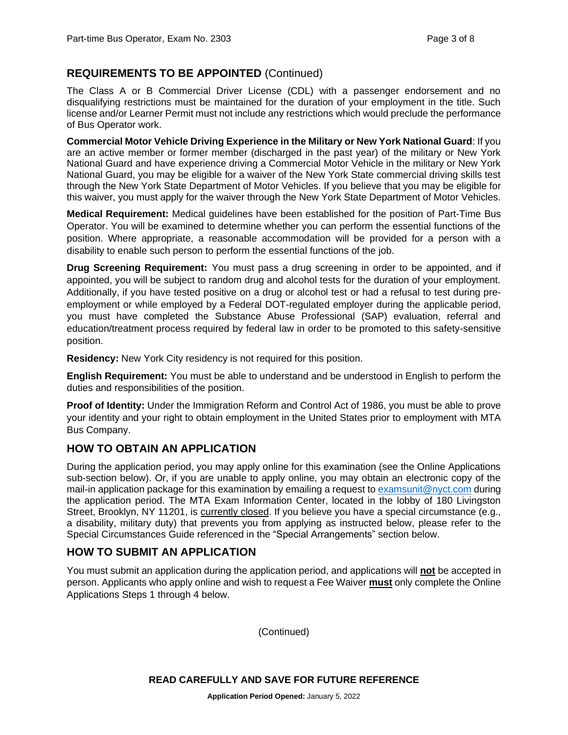# **REQUIREMENTS TO BE APPOINTED** (Continued)

The Class A or B Commercial Driver License (CDL) with a passenger endorsement and no disqualifying restrictions must be maintained for the duration of your employment in the title. Such license and/or Learner Permit must not include any restrictions which would preclude the performance of Bus Operator work.

**Commercial Motor Vehicle Driving Experience in the Military or New York National Guard**: If you are an active member or former member (discharged in the past year) of the military or New York National Guard and have experience driving a Commercial Motor Vehicle in the military or New York National Guard, you may be eligible for a waiver of the New York State commercial driving skills test through the New York State Department of Motor Vehicles. If you believe that you may be eligible for this waiver, you must apply for the waiver through the New York State Department of Motor Vehicles.

**Medical Requirement:** Medical guidelines have been established for the position of Part-Time Bus Operator. You will be examined to determine whether you can perform the essential functions of the position. Where appropriate, a reasonable accommodation will be provided for a person with a disability to enable such person to perform the essential functions of the job.

**Drug Screening Requirement:** You must pass a drug screening in order to be appointed, and if appointed, you will be subject to random drug and alcohol tests for the duration of your employment. Additionally, if you have tested positive on a drug or alcohol test or had a refusal to test during preemployment or while employed by a Federal DOT-regulated employer during the applicable period, you must have completed the Substance Abuse Professional (SAP) evaluation, referral and education/treatment process required by federal law in order to be promoted to this safety-sensitive position.

**Residency:** New York City residency is not required for this position.

**English Requirement:** You must be able to understand and be understood in English to perform the duties and responsibilities of the position.

**Proof of Identity:** Under the Immigration Reform and Control Act of 1986, you must be able to prove your identity and your right to obtain employment in the United States prior to employment with MTA Bus Company.

#### **HOW TO OBTAIN AN APPLICATION**

During the application period, you may apply online for this examination (see the Online Applications sub-section below). Or, if you are unable to apply online, you may obtain an electronic copy of the mail-in application package for this examination by emailing a request to [examsunit@nyct.com](mailto:examsunit@nyct.com) during the application period. The MTA Exam Information Center, located in the lobby of 180 Livingston Street, Brooklyn, NY 11201, is currently closed. If you believe you have a special circumstance (e.g., a disability, military duty) that prevents you from applying as instructed below, please refer to the Special Circumstances Guide referenced in the "Special Arrangements" section below.

# **HOW TO SUBMIT AN APPLICATION**

You must submit an application during the application period, and applications will **not** be accepted in person. Applicants who apply online and wish to request a Fee Waiver **must** only complete the Online Applications Steps 1 through 4 below.

(Continued)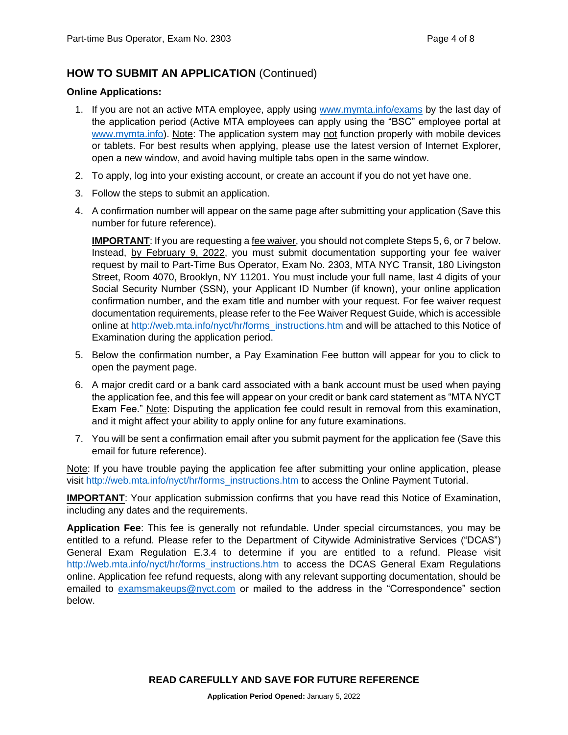# **HOW TO SUBMIT AN APPLICATION** (Continued)

#### **Online Applications:**

- 1. If you are not an active MTA employee, apply using [www.mymta.info/exams](http://www.mymta.info/exams) by the last day of the application period (Active MTA employees can apply using the "BSC" employee portal at [www.mymta.info\)](http://www.mymta.info/). Note: The application system may not function properly with mobile devices or tablets. For best results when applying, please use the latest version of Internet Explorer, open a new window, and avoid having multiple tabs open in the same window.
- 2. To apply, log into your existing account, or create an account if you do not yet have one.
- 3. Follow the steps to submit an application.
- 4. A confirmation number will appear on the same page after submitting your application (Save this number for future reference).

**IMPORTANT:** If you are requesting a fee waiver, you should not complete Steps 5, 6, or 7 below. Instead, by February 9, 2022, you must submit documentation supporting your fee waiver request by mail to Part-Time Bus Operator, Exam No. 2303, MTA NYC Transit, 180 Livingston Street, Room 4070, Brooklyn, NY 11201. You must include your full name, last 4 digits of your Social Security Number (SSN), your Applicant ID Number (if known), your online application confirmation number, and the exam title and number with your request. For fee waiver request documentation requirements, please refer to the Fee Waiver Request Guide, which is accessible online at [http://web.mta.info/nyct/hr/forms\\_instructions.htm](http://web.mta.info/nyct/hr/forms_instructions.htm) and will be attached to this Notice of Examination during the application period.

- 5. Below the confirmation number, a Pay Examination Fee button will appear for you to click to open the payment page.
- 6. A major credit card or a bank card associated with a bank account must be used when paying the application fee, and this fee will appear on your credit or bank card statement as "MTA NYCT Exam Fee." Note: Disputing the application fee could result in removal from this examination, and it might affect your ability to apply online for any future examinations.
- 7. You will be sent a confirmation email after you submit payment for the application fee (Save this email for future reference).

Note: If you have trouble paying the application fee after submitting your online application, please visit [http://web.mta.info/nyct/hr/forms\\_instructions.htm](http://web.mta.info/nyct/hr/forms_instructions.htm) to access the Online Payment Tutorial.

**IMPORTANT:** Your application submission confirms that you have read this Notice of Examination, including any dates and the requirements.

**Application Fee**: This fee is generally not refundable. Under special circumstances, you may be entitled to a refund. Please refer to the Department of Citywide Administrative Services ("DCAS") General Exam Regulation E.3.4 to determine if you are entitled to a refund. Please visit [http://web.mta.info/nyct/hr/forms\\_instructions.htm](http://web.mta.info/nyct/hr/forms_instructions.htm) to access the DCAS General Exam Regulations online. Application fee refund requests, along with any relevant supporting documentation, should be emailed to [examsmakeups@nyct.com](mailto:examsmakeups@nyct.com) or mailed to the address in the "Correspondence" section below.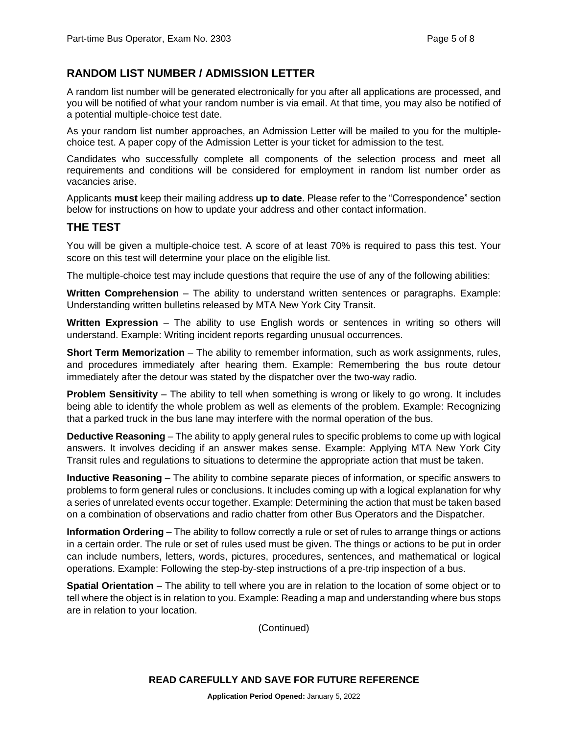# **RANDOM LIST NUMBER / ADMISSION LETTER**

A random list number will be generated electronically for you after all applications are processed, and you will be notified of what your random number is via email. At that time, you may also be notified of a potential multiple-choice test date.

As your random list number approaches, an Admission Letter will be mailed to you for the multiplechoice test. A paper copy of the Admission Letter is your ticket for admission to the test.

Candidates who successfully complete all components of the selection process and meet all requirements and conditions will be considered for employment in random list number order as vacancies arise.

Applicants **must** keep their mailing address **up to date**. Please refer to the "Correspondence" section below for instructions on how to update your address and other contact information.

#### **THE TEST**

You will be given a multiple-choice test. A score of at least 70% is required to pass this test. Your score on this test will determine your place on the eligible list.

The multiple-choice test may include questions that require the use of any of the following abilities:

**Written Comprehension** – The ability to understand written sentences or paragraphs. Example: Understanding written bulletins released by MTA New York City Transit.

**Written Expression** – The ability to use English words or sentences in writing so others will understand. Example: Writing incident reports regarding unusual occurrences.

**Short Term Memorization** – The ability to remember information, such as work assignments, rules, and procedures immediately after hearing them. Example: Remembering the bus route detour immediately after the detour was stated by the dispatcher over the two-way radio.

**Problem Sensitivity** – The ability to tell when something is wrong or likely to go wrong. It includes being able to identify the whole problem as well as elements of the problem. Example: Recognizing that a parked truck in the bus lane may interfere with the normal operation of the bus.

**Deductive Reasoning** – The ability to apply general rules to specific problems to come up with logical answers. It involves deciding if an answer makes sense. Example: Applying MTA New York City Transit rules and regulations to situations to determine the appropriate action that must be taken.

**Inductive Reasoning** – The ability to combine separate pieces of information, or specific answers to problems to form general rules or conclusions. It includes coming up with a logical explanation for why a series of unrelated events occur together. Example: Determining the action that must be taken based on a combination of observations and radio chatter from other Bus Operators and the Dispatcher.

**Information Ordering** – The ability to follow correctly a rule or set of rules to arrange things or actions in a certain order. The rule or set of rules used must be given. The things or actions to be put in order can include numbers, letters, words, pictures, procedures, sentences, and mathematical or logical operations. Example: Following the step-by-step instructions of a pre-trip inspection of a bus.

**Spatial Orientation** – The ability to tell where you are in relation to the location of some object or to tell where the object is in relation to you. Example: Reading a map and understanding where bus stops are in relation to your location.

(Continued)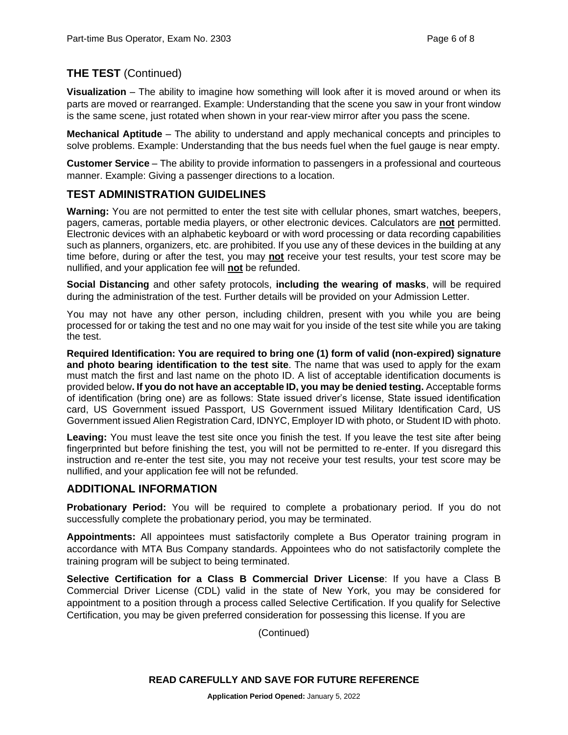# **THE TEST** (Continued)

**Visualization** – The ability to imagine how something will look after it is moved around or when its parts are moved or rearranged. Example: Understanding that the scene you saw in your front window is the same scene, just rotated when shown in your rear-view mirror after you pass the scene.

**Mechanical Aptitude** – The ability to understand and apply mechanical concepts and principles to solve problems. Example: Understanding that the bus needs fuel when the fuel gauge is near empty.

**Customer Service** – The ability to provide information to passengers in a professional and courteous manner. Example: Giving a passenger directions to a location.

# **TEST ADMINISTRATION GUIDELINES**

**Warning:** You are not permitted to enter the test site with cellular phones, smart watches, beepers, pagers, cameras, portable media players, or other electronic devices. Calculators are **not** permitted. Electronic devices with an alphabetic keyboard or with word processing or data recording capabilities such as planners, organizers, etc. are prohibited. If you use any of these devices in the building at any time before, during or after the test, you may **not** receive your test results, your test score may be nullified, and your application fee will **not** be refunded.

**Social Distancing** and other safety protocols, **including the wearing of masks**, will be required during the administration of the test. Further details will be provided on your Admission Letter.

You may not have any other person, including children, present with you while you are being processed for or taking the test and no one may wait for you inside of the test site while you are taking the test.

**Required Identification: You are required to bring one (1) form of valid (non-expired) signature and photo bearing identification to the test site**. The name that was used to apply for the exam must match the first and last name on the photo ID. A list of acceptable identification documents is provided below**. If you do not have an acceptable ID, you may be denied testing.** Acceptable forms of identification (bring one) are as follows: State issued driver's license, State issued identification card, US Government issued Passport, US Government issued Military Identification Card, US Government issued Alien Registration Card, IDNYC, Employer ID with photo, or Student ID with photo.

**Leaving:** You must leave the test site once you finish the test. If you leave the test site after being fingerprinted but before finishing the test, you will not be permitted to re-enter. If you disregard this instruction and re-enter the test site, you may not receive your test results, your test score may be nullified, and your application fee will not be refunded.

# **ADDITIONAL INFORMATION**

**Probationary Period:** You will be required to complete a probationary period. If you do not successfully complete the probationary period, you may be terminated.

**Appointments:** All appointees must satisfactorily complete a Bus Operator training program in accordance with MTA Bus Company standards. Appointees who do not satisfactorily complete the training program will be subject to being terminated.

**Selective Certification for a Class B Commercial Driver License**: If you have a Class B Commercial Driver License (CDL) valid in the state of New York, you may be considered for appointment to a position through a process called Selective Certification. If you qualify for Selective Certification, you may be given preferred consideration for possessing this license. If you are

(Continued)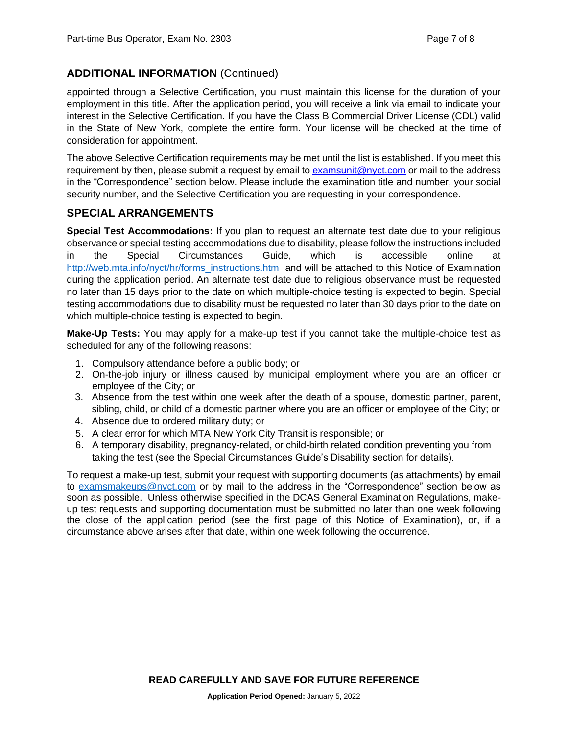# **ADDITIONAL INFORMATION** (Continued)

appointed through a Selective Certification, you must maintain this license for the duration of your employment in this title. After the application period, you will receive a link via email to indicate your interest in the Selective Certification. If you have the Class B Commercial Driver License (CDL) valid in the State of New York, complete the entire form. Your license will be checked at the time of consideration for appointment.

The above Selective Certification requirements may be met until the list is established. If you meet this requirement by then, please submit a request by email to [examsunit@nyct.com](mailto:examsunit@nyct.com) or mail to the address in the "Correspondence" section below. Please include the examination title and number, your social security number, and the Selective Certification you are requesting in your correspondence.

# **SPECIAL ARRANGEMENTS**

**Special Test Accommodations:** If you plan to request an alternate test date due to your religious observance or special testing accommodations due to disability, please follow the instructions included in the Special Circumstances Guide, which is accessible online at [http://web.mta.info/nyct/hr/forms\\_instructions.htm](http://web.mta.info/nyct/hr/forms_instructions.htm) and will be attached to this Notice of Examination during the application period. An alternate test date due to religious observance must be requested no later than 15 days prior to the date on which multiple-choice testing is expected to begin. Special testing accommodations due to disability must be requested no later than 30 days prior to the date on which multiple-choice testing is expected to begin.

**Make-Up Tests:** You may apply for a make-up test if you cannot take the multiple-choice test as scheduled for any of the following reasons:

- 1. Compulsory attendance before a public body; or
- 2. On-the-job injury or illness caused by municipal employment where you are an officer or employee of the City; or
- 3. Absence from the test within one week after the death of a spouse, domestic partner, parent, sibling, child, or child of a domestic partner where you are an officer or employee of the City; or
- 4. Absence due to ordered military duty; or
- 5. A clear error for which MTA New York City Transit is responsible; or
- 6. A temporary disability, pregnancy-related, or child-birth related condition preventing you from taking the test (see the Special Circumstances Guide's Disability section for details).

To request a make-up test, submit your request with supporting documents (as attachments) by email to [examsmakeups@nyct.com](mailto:examsmakeups@nyct.com) or by mail to the address in the "Correspondence" section below as soon as possible. Unless otherwise specified in the DCAS General Examination Regulations, makeup test requests and supporting documentation must be submitted no later than one week following the close of the application period (see the first page of this Notice of Examination), or, if a circumstance above arises after that date, within one week following the occurrence.